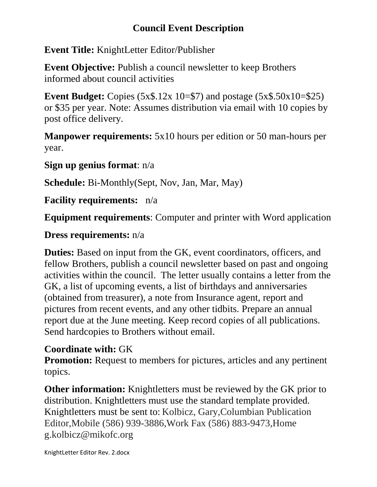## **Council Event Description**

**Event Title:** KnightLetter Editor/Publisher

**Event Objective:** Publish a council newsletter to keep Brothers informed about council activities

**Event Budget:** Copies (5x\$.12x 10=\$7) and postage (5x\$.50x10=\$25) or \$35 per year. Note: Assumes distribution via email with 10 copies by post office delivery.

**Manpower requirements:** 5x10 hours per edition or 50 man-hours per year.

**Sign up genius format**: n/a

**Schedule:** Bi-Monthly(Sept, Nov, Jan, Mar, May)

**Facility requirements:** n/a

**Equipment requirements**: Computer and printer with Word application

## **Dress requirements:** n/a

**Duties:** Based on input from the GK, event coordinators, officers, and fellow Brothers, publish a council newsletter based on past and ongoing activities within the council. The letter usually contains a letter from the GK, a list of upcoming events, a list of birthdays and anniversaries (obtained from treasurer), a note from Insurance agent, report and pictures from recent events, and any other tidbits. Prepare an annual report due at the June meeting. Keep record copies of all publications. Send hardcopies to Brothers without email.

## **Coordinate with:** GK

**Promotion:** Request to members for pictures, articles and any pertinent topics.

**Other information:** Knightletters must be reviewed by the GK prior to distribution. Knightletters must use the standard template provided. Knightletters must be sent to: Kolbicz, Gary,Columbian Publication Editor,Mobile (586) 939-3886,Work Fax (586) 883-9473,Home g.kolbicz@mikofc.org